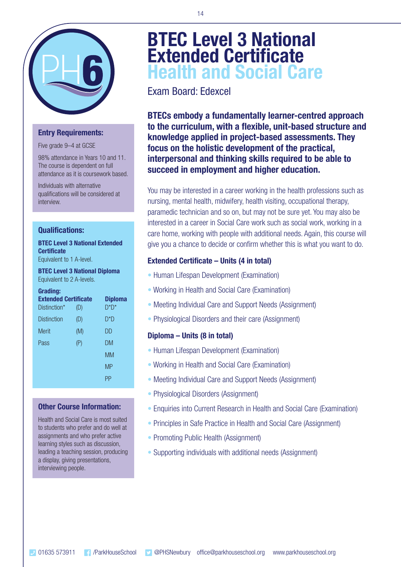

### **Entry Requirements:**

Five grade 9–4 at GCSE

98% attendance in Years 10 and 11. The course is dependent on full attendance as it is coursework based.

Individuals with alternative qualifications will be considered at interview.

### **Qualifications:**

### **BTEC Level 3 National Extended Certificate**

Equivalent to 1 A-level.

#### **BTEC Level 3 National Diploma** Equivalent to 2 A-levels.

#### **Grading:**

| <b>Extended Certificate</b><br>Distinction* | (D) | <b>Diploma</b><br>$D^*D^*$ |
|---------------------------------------------|-----|----------------------------|
| <b>Distinction</b>                          | (D) | D*D                        |
| Merit                                       | (M) | DD                         |
| Pass                                        | (P) | DM                         |
|                                             |     | <b>MM</b>                  |
|                                             |     | <b>MP</b>                  |
|                                             |     | ΡP                         |
|                                             |     |                            |

### **Other Course Information:**

Health and Social Care is most suited to students who prefer and do well at assignments and who prefer active learning styles such as discussion, leading a teaching session, producing a display, giving presentations, interviewing people.

# **BTEC Level 3 National Extended Certificate Health and Social Care**

Exam Board: Edexcel

**BTECs embody a fundamentally learner-centred approach to the curriculum, with a flexible, unit-based structure and knowledge applied in project-based assessments. They focus on the holistic development of the practical, interpersonal and thinking skills required to be able to succeed in employment and higher education.**

You may be interested in a career working in the health professions such as nursing, mental health, midwifery, health visiting, occupational therapy, paramedic technician and so on, but may not be sure yet. You may also be interested in a career in Social Care work such as social work, working in a care home, working with people with additional needs. Again, this course will give you a chance to decide or confirm whether this is what you want to do.

### **Extended Certificate – Units (4 in total)**

- Human Lifespan Development (Examination)
- Working in Health and Social Care (Examination)
- Meeting Individual Care and Support Needs (Assignment)
- Physiological Disorders and their care (Assignment)

### **Diploma – Units (8 in total)**

- Human Lifespan Development (Examination)
- Working in Health and Social Care (Examination)
- Meeting Individual Care and Support Needs (Assignment)
- Physiological Disorders (Assignment)
- Enquiries into Current Research in Health and Social Care (Examination)
- Principles in Safe Practice in Health and Social Care (Assignment)
- Promoting Public Health (Assignment)
- Supporting individuals with additional needs (Assignment)